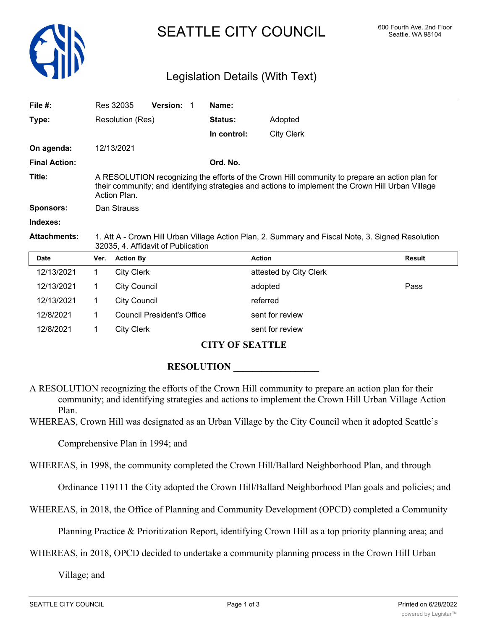

# SEATTLE CITY COUNCIL 600 Fourth Ave. 2nd Floor

## Legislation Details (With Text)

| File $#$ :           |                                                                                                                                                                                                                     | Res 32035           | <b>Version:</b><br>-1      | Name:          |                        |               |  |  |
|----------------------|---------------------------------------------------------------------------------------------------------------------------------------------------------------------------------------------------------------------|---------------------|----------------------------|----------------|------------------------|---------------|--|--|
| Type:                |                                                                                                                                                                                                                     | Resolution (Res)    |                            | <b>Status:</b> | Adopted                |               |  |  |
|                      |                                                                                                                                                                                                                     |                     |                            | In control:    | <b>City Clerk</b>      |               |  |  |
| On agenda:           |                                                                                                                                                                                                                     | 12/13/2021          |                            |                |                        |               |  |  |
| <b>Final Action:</b> | Ord. No.                                                                                                                                                                                                            |                     |                            |                |                        |               |  |  |
| Title:               | A RESOLUTION recognizing the efforts of the Crown Hill community to prepare an action plan for<br>their community; and identifying strategies and actions to implement the Crown Hill Urban Village<br>Action Plan. |                     |                            |                |                        |               |  |  |
| <b>Sponsors:</b>     | Dan Strauss                                                                                                                                                                                                         |                     |                            |                |                        |               |  |  |
| Indexes:             |                                                                                                                                                                                                                     |                     |                            |                |                        |               |  |  |
| <b>Attachments:</b>  | 1. Att A - Crown Hill Urban Village Action Plan, 2. Summary and Fiscal Note, 3. Signed Resolution<br>32035, 4. Affidavit of Publication                                                                             |                     |                            |                |                        |               |  |  |
| <b>Date</b>          | Ver.                                                                                                                                                                                                                | <b>Action By</b>    |                            |                | <b>Action</b>          | <b>Result</b> |  |  |
| 12/13/2021           | $\mathbf{1}$                                                                                                                                                                                                        | <b>City Clerk</b>   |                            |                | attested by City Clerk |               |  |  |
| 12/13/2021           | 1                                                                                                                                                                                                                   | <b>City Council</b> |                            |                | adopted                | Pass          |  |  |
| 12/13/2021           | 1                                                                                                                                                                                                                   | <b>City Council</b> |                            |                | referred               |               |  |  |
| 12/8/2021            | 1                                                                                                                                                                                                                   |                     | Council President's Office |                | sent for review        |               |  |  |
| 12/8/2021            | 1                                                                                                                                                                                                                   | <b>City Clerk</b>   |                            |                | sent for review        |               |  |  |

#### **CITY OF SEATTLE**

#### **RESOLUTION**

A RESOLUTION recognizing the efforts of the Crown Hill community to prepare an action plan for their community; and identifying strategies and actions to implement the Crown Hill Urban Village Action Plan.

WHEREAS, Crown Hill was designated as an Urban Village by the City Council when it adopted Seattle's

Comprehensive Plan in 1994; and

WHEREAS, in 1998, the community completed the Crown Hill/Ballard Neighborhood Plan, and through

Ordinance 119111 the City adopted the Crown Hill/Ballard Neighborhood Plan goals and policies; and

WHEREAS, in 2018, the Office of Planning and Community Development (OPCD) completed a Community

Planning Practice & Prioritization Report, identifying Crown Hill as a top priority planning area; and

WHEREAS, in 2018, OPCD decided to undertake a community planning process in the Crown Hill Urban

Village; and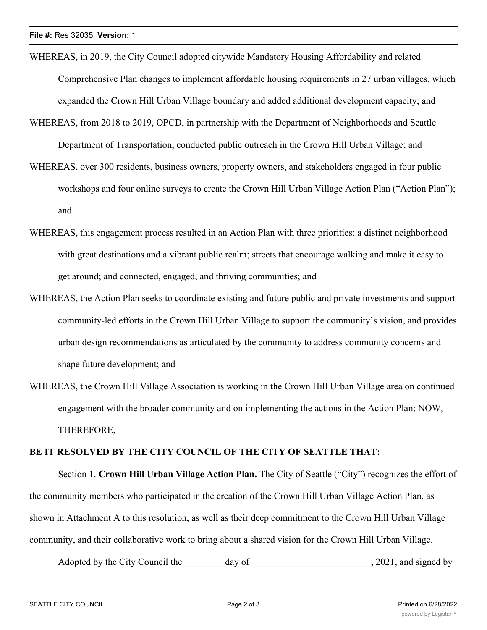- WHEREAS, in 2019, the City Council adopted citywide Mandatory Housing Affordability and related Comprehensive Plan changes to implement affordable housing requirements in 27 urban villages, which expanded the Crown Hill Urban Village boundary and added additional development capacity; and
- WHEREAS, from 2018 to 2019, OPCD, in partnership with the Department of Neighborhoods and Seattle Department of Transportation, conducted public outreach in the Crown Hill Urban Village; and
- WHEREAS, over 300 residents, business owners, property owners, and stakeholders engaged in four public workshops and four online surveys to create the Crown Hill Urban Village Action Plan ("Action Plan"); and
- WHEREAS, this engagement process resulted in an Action Plan with three priorities: a distinct neighborhood with great destinations and a vibrant public realm; streets that encourage walking and make it easy to get around; and connected, engaged, and thriving communities; and
- WHEREAS, the Action Plan seeks to coordinate existing and future public and private investments and support community-led efforts in the Crown Hill Urban Village to support the community's vision, and provides urban design recommendations as articulated by the community to address community concerns and shape future development; and
- WHEREAS, the Crown Hill Village Association is working in the Crown Hill Urban Village area on continued engagement with the broader community and on implementing the actions in the Action Plan; NOW, THEREFORE,

### **BE IT RESOLVED BY THE CITY COUNCIL OF THE CITY OF SEATTLE THAT:**

Section 1. **Crown Hill Urban Village Action Plan.** The City of Seattle ("City") recognizes the effort of the community members who participated in the creation of the Crown Hill Urban Village Action Plan, as shown in Attachment A to this resolution, as well as their deep commitment to the Crown Hill Urban Village community, and their collaborative work to bring about a shared vision for the Crown Hill Urban Village.

Adopted by the City Council the day of the council the day of the council state of the council state of the council state of the council state of the council state of the council state of the council state of the council s